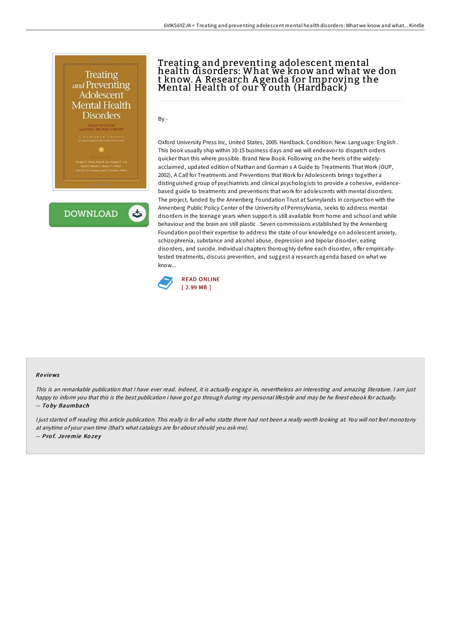

.<br>Vans, Edna B. Foa, Raquel E. Gui<br>1 Hendin, Charles P. O'Brien<br>Seligman and B. Timothy Walsh



## Treating and preventing adolescent mental health disorders: What we know and what we don t know. A Research A genda for Improving the Mental Health of our Y outh (Hardback)

By -

Oxford University Press Inc, United States, 2005. Hardback. Condition: New. Language: English . This book usually ship within 10-15 business days and we will endeavor to dispatch orders quicker than this where possible. Brand New Book. Following on the heels of the widelyacclaimed, updated edition of Nathan and Gorman s A Guide to Treatments That Work (OUP, 2002), A Call for Treatments and Preventions that Work for Adolescents brings together a distinguished group of psychiatrists and clinical psychologists to provide a cohesive, evidencebased guide to treatments and preventions that work for adolescents with mental disorders. The project, funded by the Annenberg Foundation Trust at Sunnylands in conjunction with the Annenberg Public Policy Center of the University of Pennsylvania, seeks to address mental disorders in the teenage years when support is still available from home and school and while behaviour and the brain are still plastic . Seven commissions established by the Annenberg Foundation pool their expertise to address the state of our knowledge on adolescent anxiety, schizophrenia, substance and alcohol abuse, depression and bipolar disorder, eating disorders, and suicide. Individual chapters thoroughly define each disorder, offer empiricallytested treatments, discuss prevention, and suggest a research agenda based on what we know...



#### Re views

This is an remarkable publication that I have ever read. Indeed, it is actually engage in, nevertheless an interesting and amazing literature. I am just happy to inform you that this is the best publication i have got go through during my personal lifestyle and may be he finest ebook for actually. -- To by Baumbach

I just started off reading this article publication. This really is for all who statte there had not been a really worth looking at. You will not feel monotony at anytime of your own time (that's what catalogs are for about should you ask me). -- Prof. Jeremie Kozey